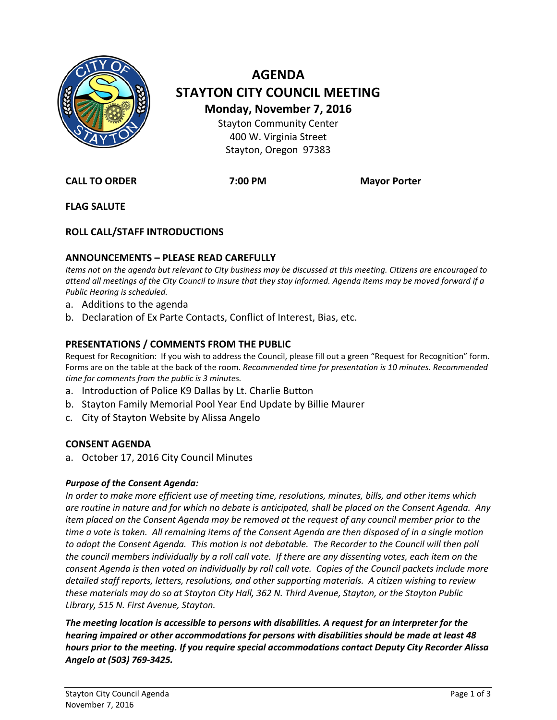

# **AGENDA STAYTON CITY COUNCIL MEETING Monday, November 7, 2016** Stayton Community Center 400 W. Virginia Street Stayton, Oregon 97383

**CALL TO ORDER 7:00 PM Mayor Porter**

**FLAG SALUTE**

# **ROLL CALL/STAFF INTRODUCTIONS**

# **ANNOUNCEMENTS – PLEASE READ CAREFULLY**

*Items not on the agenda but relevant to City business may be discussed at this meeting. Citizens are encouraged to attend all meetings of the City Council to insure that they stay informed. Agenda items may be moved forward if a Public Hearing is scheduled.*

- a. Additions to the agenda
- b. Declaration of Ex Parte Contacts, Conflict of Interest, Bias, etc.

#### **PRESENTATIONS / COMMENTS FROM THE PUBLIC**

Request for Recognition: If you wish to address the Council, please fill out a green "Request for Recognition" form. Forms are on the table at the back of the room. *Recommended time for presentation is 10 minutes. Recommended time for comments from the public is 3 minutes.*

- a. Introduction of Police K9 Dallas by Lt. Charlie Button
- b. Stayton Family Memorial Pool Year End Update by Billie Maurer
- c. City of Stayton Website by Alissa Angelo

#### **CONSENT AGENDA**

a. October 17, 2016 City Council Minutes

#### *Purpose of the Consent Agenda:*

*In order to make more efficient use of meeting time, resolutions, minutes, bills, and other items which are routine in nature and for which no debate is anticipated, shall be placed on the Consent Agenda. Any item placed on the Consent Agenda may be removed at the request of any council member prior to the time a vote is taken. All remaining items of the Consent Agenda are then disposed of in a single motion*  to adopt the Consent Agenda. This motion is not debatable. The Recorder to the Council will then poll *the council members individually by a roll call vote. If there are any dissenting votes, each item on the consent Agenda is then voted on individually by roll call vote. Copies of the Council packets include more detailed staff reports, letters, resolutions, and other supporting materials. A citizen wishing to review these materials may do so at Stayton City Hall, 362 N. Third Avenue, Stayton, or the Stayton Public Library, 515 N. First Avenue, Stayton.*

*The meeting location is accessible to persons with disabilities. A request for an interpreter for the hearing impaired or other accommodations for persons with disabilities should be made at least 48 hours prior to the meeting. If you require special accommodations contact Deputy City Recorder Alissa Angelo at (503) 769-3425.*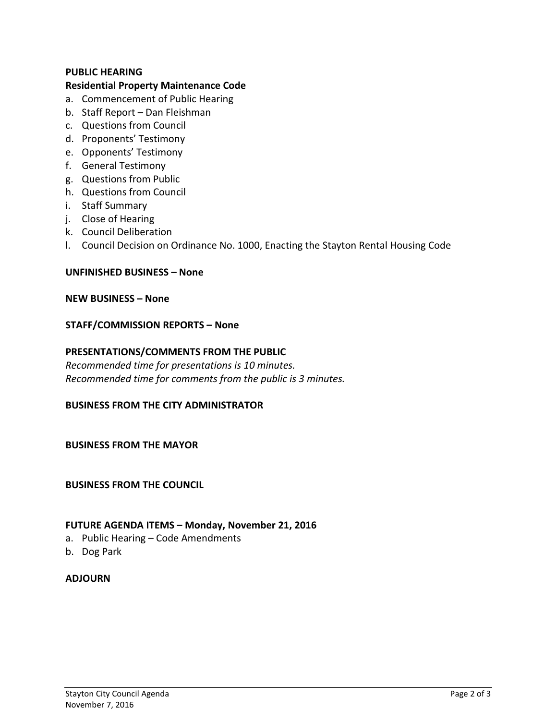#### **PUBLIC HEARING**

#### **Residential Property Maintenance Code**

- a. Commencement of Public Hearing
- b. Staff Report Dan Fleishman
- c. Questions from Council
- d. Proponents' Testimony
- e. Opponents' Testimony
- f. General Testimony
- g. Questions from Public
- h. Questions from Council
- i. Staff Summary
- j. Close of Hearing
- k. Council Deliberation
- l. Council Decision on Ordinance No. 1000, Enacting the Stayton Rental Housing Code

#### **UNFINISHED BUSINESS – None**

#### **NEW BUSINESS – None**

#### **STAFF/COMMISSION REPORTS – None**

#### **PRESENTATIONS/COMMENTS FROM THE PUBLIC**

*Recommended time for presentations is 10 minutes. Recommended time for comments from the public is 3 minutes.*

#### **BUSINESS FROM THE CITY ADMINISTRATOR**

#### **BUSINESS FROM THE MAYOR**

#### **BUSINESS FROM THE COUNCIL**

#### **FUTURE AGENDA ITEMS – Monday, November 21, 2016**

- a. Public Hearing Code Amendments
- b. Dog Park

#### **ADJOURN**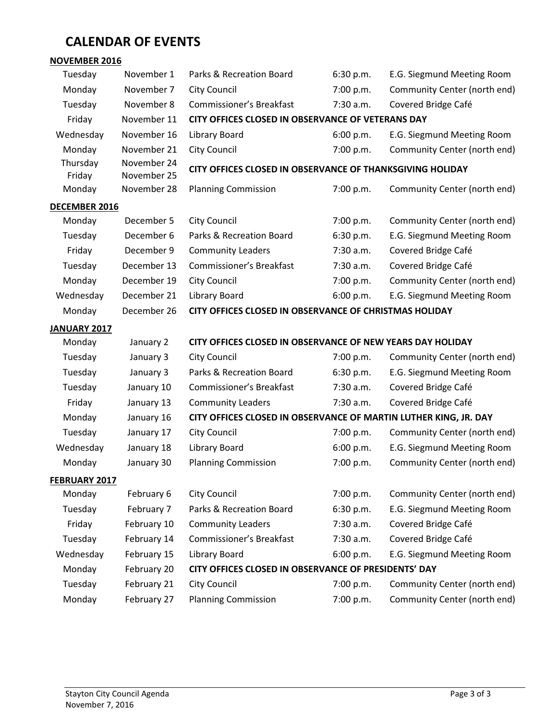# **CALENDAR OF EVENTS**

| <b>NOVEMBER 2016</b> |                            |                                                                  |           |                              |
|----------------------|----------------------------|------------------------------------------------------------------|-----------|------------------------------|
| Tuesday              | November 1                 | Parks & Recreation Board                                         | 6:30 p.m. | E.G. Siegmund Meeting Room   |
| Monday               | November 7                 | <b>City Council</b>                                              | 7:00 p.m. | Community Center (north end) |
| Tuesday              | November 8                 | <b>Commissioner's Breakfast</b>                                  | 7:30 a.m. | Covered Bridge Café          |
| Friday               | November 11                | CITY OFFICES CLOSED IN OBSERVANCE OF VETERANS DAY                |           |                              |
| Wednesday            | November 16                | Library Board                                                    | 6:00 p.m. | E.G. Siegmund Meeting Room   |
| Monday               | November 21                | City Council                                                     | 7:00 p.m. | Community Center (north end) |
| Thursday<br>Friday   | November 24<br>November 25 | CITY OFFICES CLOSED IN OBSERVANCE OF THANKSGIVING HOLIDAY        |           |                              |
| Monday               | November 28                | <b>Planning Commission</b>                                       | 7:00 p.m. | Community Center (north end) |
| DECEMBER 2016        |                            |                                                                  |           |                              |
| Monday               | December 5                 | <b>City Council</b>                                              | 7:00 p.m. | Community Center (north end) |
| Tuesday              | December 6                 | Parks & Recreation Board                                         | 6:30 p.m. | E.G. Siegmund Meeting Room   |
| Friday               | December 9                 | <b>Community Leaders</b>                                         | 7:30 a.m. | Covered Bridge Café          |
| Tuesday              | December 13                | <b>Commissioner's Breakfast</b>                                  | 7:30 a.m. | Covered Bridge Café          |
| Monday               | December 19                | City Council                                                     | 7:00 p.m. | Community Center (north end) |
| Wednesday            | December 21                | Library Board                                                    | 6:00 p.m. | E.G. Siegmund Meeting Room   |
| Monday               | December 26                | CITY OFFICES CLOSED IN OBSERVANCE OF CHRISTMAS HOLIDAY           |           |                              |
| JANUARY 2017         |                            |                                                                  |           |                              |
| Monday               | January 2                  | CITY OFFICES CLOSED IN OBSERVANCE OF NEW YEARS DAY HOLIDAY       |           |                              |
| Tuesday              | January 3                  | <b>City Council</b>                                              | 7:00 p.m. | Community Center (north end) |
| Tuesday              | January 3                  | Parks & Recreation Board                                         | 6:30 p.m. | E.G. Siegmund Meeting Room   |
| Tuesday              | January 10                 | <b>Commissioner's Breakfast</b>                                  | 7:30 a.m. | Covered Bridge Café          |
| Friday               | January 13                 | <b>Community Leaders</b>                                         | 7:30 a.m. | Covered Bridge Café          |
| Monday               | January 16                 | CITY OFFICES CLOSED IN OBSERVANCE OF MARTIN LUTHER KING, JR. DAY |           |                              |
| Tuesday              | January 17                 | <b>City Council</b>                                              | 7:00 p.m. | Community Center (north end) |
| Wednesday            | January 18                 | Library Board                                                    | 6:00 p.m. | E.G. Siegmund Meeting Room   |
| Monday               | January 30                 | <b>Planning Commission</b>                                       | 7:00 p.m. | Community Center (north end) |
| FEBRUARY 2017        |                            |                                                                  |           |                              |
| Monday               | February 6                 | <b>City Council</b>                                              | 7:00 p.m. | Community Center (north end) |
| Tuesday              | February 7                 | Parks & Recreation Board                                         | 6:30 p.m. | E.G. Siegmund Meeting Room   |
| Friday               | February 10                | <b>Community Leaders</b>                                         | 7:30 a.m. | Covered Bridge Café          |
| Tuesday              | February 14                | <b>Commissioner's Breakfast</b>                                  | 7:30 a.m. | Covered Bridge Café          |
| Wednesday            | February 15                | Library Board                                                    | 6:00 p.m. | E.G. Siegmund Meeting Room   |
| Monday               | February 20                | CITY OFFICES CLOSED IN OBSERVANCE OF PRESIDENTS' DAY             |           |                              |
| Tuesday              | February 21                | <b>City Council</b>                                              | 7:00 p.m. | Community Center (north end) |
| Monday               | February 27                | <b>Planning Commission</b>                                       | 7:00 p.m. | Community Center (north end) |
|                      |                            |                                                                  |           |                              |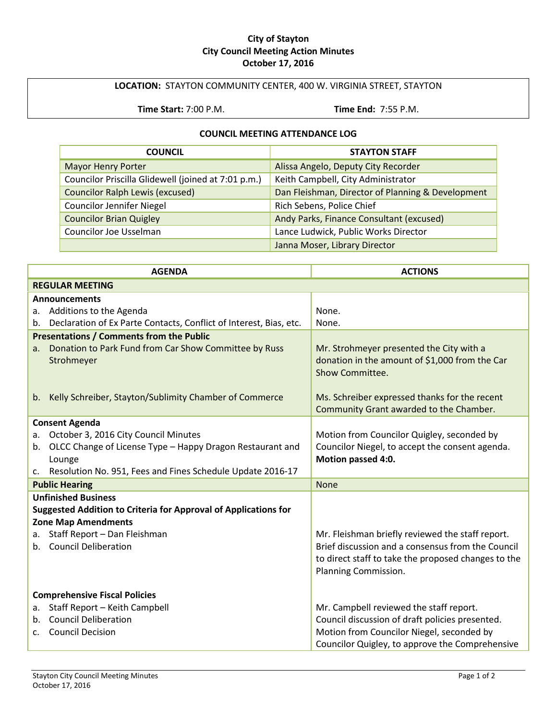#### **City of Stayton City Council Meeting Action Minutes October 17, 2016**

#### **LOCATION:** STAYTON COMMUNITY CENTER, 400 W. VIRGINIA STREET, STAYTON

**Time Start:** 7:00 P.M. **Time End:** 7:55 P.M.

#### **COUNCIL MEETING ATTENDANCE LOG**

| <b>COUNCIL</b>                                      | <b>STAYTON STAFF</b>                              |
|-----------------------------------------------------|---------------------------------------------------|
| <b>Mayor Henry Porter</b>                           | Alissa Angelo, Deputy City Recorder               |
| Councilor Priscilla Glidewell (joined at 7:01 p.m.) | Keith Campbell, City Administrator                |
| <b>Councilor Ralph Lewis (excused)</b>              | Dan Fleishman, Director of Planning & Development |
| <b>Councilor Jennifer Niegel</b>                    | Rich Sebens, Police Chief                         |
| <b>Councilor Brian Quigley</b>                      | Andy Parks, Finance Consultant (excused)          |
| <b>Councilor Joe Usselman</b>                       | Lance Ludwick, Public Works Director              |
|                                                     | Janna Moser, Library Director                     |

| <b>AGENDA</b>                                                            | <b>ACTIONS</b>                                                    |  |
|--------------------------------------------------------------------------|-------------------------------------------------------------------|--|
| <b>REGULAR MEETING</b>                                                   |                                                                   |  |
| <b>Announcements</b>                                                     |                                                                   |  |
| a. Additions to the Agenda                                               | None.                                                             |  |
| Declaration of Ex Parte Contacts, Conflict of Interest, Bias, etc.<br>b. | None.                                                             |  |
| <b>Presentations / Comments from the Public</b>                          |                                                                   |  |
| Donation to Park Fund from Car Show Committee by Russ<br>a.              | Mr. Strohmeyer presented the City with a                          |  |
| Strohmeyer                                                               | donation in the amount of \$1,000 from the Car<br>Show Committee. |  |
|                                                                          |                                                                   |  |
| Kelly Schreiber, Stayton/Sublimity Chamber of Commerce<br>b.             | Ms. Schreiber expressed thanks for the recent                     |  |
|                                                                          | Community Grant awarded to the Chamber.                           |  |
| <b>Consent Agenda</b>                                                    |                                                                   |  |
| October 3, 2016 City Council Minutes<br>а.                               | Motion from Councilor Quigley, seconded by                        |  |
| OLCC Change of License Type - Happy Dragon Restaurant and<br>b.          | Councilor Niegel, to accept the consent agenda.                   |  |
| Lounge                                                                   | Motion passed 4:0.                                                |  |
| Resolution No. 951, Fees and Fines Schedule Update 2016-17               |                                                                   |  |
| <b>Public Hearing</b>                                                    | <b>None</b>                                                       |  |
| <b>Unfinished Business</b>                                               |                                                                   |  |
| <b>Suggested Addition to Criteria for Approval of Applications for</b>   |                                                                   |  |
| <b>Zone Map Amendments</b>                                               |                                                                   |  |
| Staff Report - Dan Fleishman<br>a.                                       | Mr. Fleishman briefly reviewed the staff report.                  |  |
| b. Council Deliberation                                                  | Brief discussion and a consensus from the Council                 |  |
|                                                                          | to direct staff to take the proposed changes to the               |  |
|                                                                          | Planning Commission.                                              |  |
| <b>Comprehensive Fiscal Policies</b>                                     |                                                                   |  |
| Staff Report - Keith Campbell<br>a.                                      | Mr. Campbell reviewed the staff report.                           |  |
| <b>Council Deliberation</b><br>$b_{\cdot}$                               | Council discussion of draft policies presented.                   |  |
| <b>Council Decision</b><br>$\mathsf{C}$ .                                | Motion from Councilor Niegel, seconded by                         |  |
|                                                                          | Councilor Quigley, to approve the Comprehensive                   |  |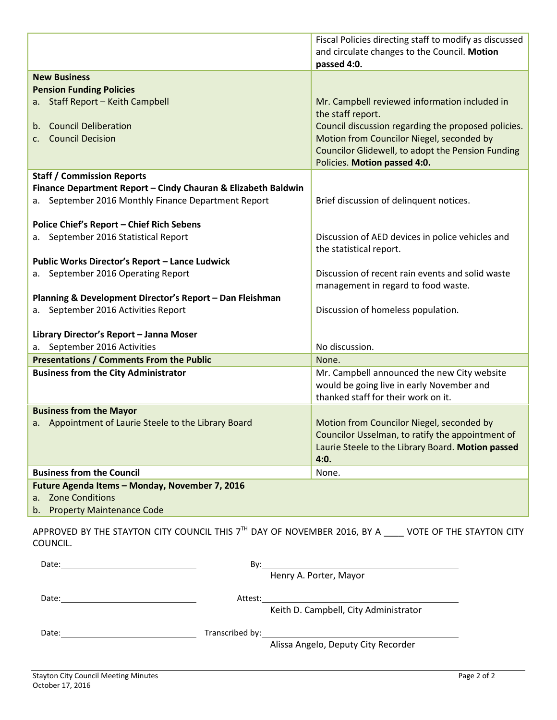|                                                               | Fiscal Policies directing staff to modify as discussed                                                |
|---------------------------------------------------------------|-------------------------------------------------------------------------------------------------------|
|                                                               | and circulate changes to the Council. Motion                                                          |
|                                                               | passed 4:0.                                                                                           |
| <b>New Business</b>                                           |                                                                                                       |
| <b>Pension Funding Policies</b>                               |                                                                                                       |
| a. Staff Report - Keith Campbell                              | Mr. Campbell reviewed information included in                                                         |
|                                                               | the staff report.                                                                                     |
| <b>Council Deliberation</b><br>b.                             | Council discussion regarding the proposed policies.                                                   |
| <b>Council Decision</b><br>C.                                 | Motion from Councilor Niegel, seconded by                                                             |
|                                                               | Councilor Glidewell, to adopt the Pension Funding                                                     |
|                                                               | Policies. Motion passed 4:0.                                                                          |
| <b>Staff / Commission Reports</b>                             |                                                                                                       |
| Finance Department Report - Cindy Chauran & Elizabeth Baldwin |                                                                                                       |
| a. September 2016 Monthly Finance Department Report           | Brief discussion of delinquent notices.                                                               |
| <b>Police Chief's Report - Chief Rich Sebens</b>              |                                                                                                       |
| a. September 2016 Statistical Report                          | Discussion of AED devices in police vehicles and                                                      |
|                                                               | the statistical report.                                                                               |
| Public Works Director's Report - Lance Ludwick                |                                                                                                       |
| September 2016 Operating Report                               | Discussion of recent rain events and solid waste                                                      |
|                                                               | management in regard to food waste.                                                                   |
| Planning & Development Director's Report - Dan Fleishman      |                                                                                                       |
| a. September 2016 Activities Report                           | Discussion of homeless population.                                                                    |
|                                                               |                                                                                                       |
| Library Director's Report - Janna Moser                       |                                                                                                       |
| a. September 2016 Activities                                  | No discussion.                                                                                        |
| <b>Presentations / Comments From the Public</b>               | None.                                                                                                 |
| <b>Business from the City Administrator</b>                   | Mr. Campbell announced the new City website                                                           |
|                                                               | would be going live in early November and                                                             |
|                                                               | thanked staff for their work on it.                                                                   |
| <b>Business from the Mayor</b>                                |                                                                                                       |
| a. Appointment of Laurie Steele to the Library Board          | Motion from Councilor Niegel, seconded by                                                             |
|                                                               | Councilor Usselman, to ratify the appointment of<br>Laurie Steele to the Library Board. Motion passed |
|                                                               | 4:0.                                                                                                  |
| <b>Business from the Council</b>                              | None.                                                                                                 |
| Future Agenda Items - Monday, November 7, 2016                |                                                                                                       |
| <b>Zone Conditions</b><br>a.                                  |                                                                                                       |
| b. Property Maintenance Code                                  |                                                                                                       |

APPROVED BY THE STAYTON CITY COUNCIL THIS  $7<sup>TH</sup>$  DAY OF NOVEMBER 2016, BY A  $\_\_\_\_$  VOTE OF THE STAYTON CITY COUNCIL.

| Date: | By:     |                                                                                                 |
|-------|---------|-------------------------------------------------------------------------------------------------|
|       |         | Henry A. Porter, Mayor                                                                          |
|       |         |                                                                                                 |
| Date: | Attest: | the contract of the contract of the contract of the contract of the contract of the contract of |
|       |         | Keith D. Campbell, City Administrator                                                           |
|       |         |                                                                                                 |
| Date: |         |                                                                                                 |
|       |         | Alissa Angelo, Deputy City Recorder                                                             |
|       |         |                                                                                                 |
|       |         |                                                                                                 |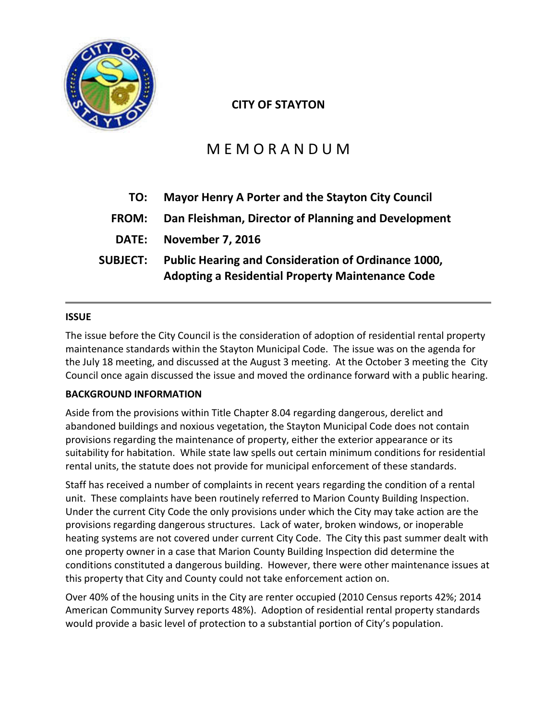

# **CITY OF STAYTON**

# M E M O R A N D U M

| TO:             | Mayor Henry A Porter and the Stayton City Council                                                              |  |
|-----------------|----------------------------------------------------------------------------------------------------------------|--|
| <b>FROM:</b>    | Dan Fleishman, Director of Planning and Development                                                            |  |
|                 | DATE: November 7, 2016                                                                                         |  |
| <b>SUBJECT:</b> | Public Hearing and Consideration of Ordinance 1000,<br><b>Adopting a Residential Property Maintenance Code</b> |  |

# **ISSUE**

The issue before the City Council is the consideration of adoption of residential rental property maintenance standards within the Stayton Municipal Code. The issue was on the agenda for the July 18 meeting, and discussed at the August 3 meeting. At the October 3 meeting the City Council once again discussed the issue and moved the ordinance forward with a public hearing.

# **BACKGROUND INFORMATION**

Aside from the provisions within Title Chapter 8.04 regarding dangerous, derelict and abandoned buildings and noxious vegetation, the Stayton Municipal Code does not contain provisions regarding the maintenance of property, either the exterior appearance or its suitability for habitation. While state law spells out certain minimum conditions for residential rental units, the statute does not provide for municipal enforcement of these standards.

Staff has received a number of complaints in recent years regarding the condition of a rental unit. These complaints have been routinely referred to Marion County Building Inspection. Under the current City Code the only provisions under which the City may take action are the provisions regarding dangerous structures. Lack of water, broken windows, or inoperable heating systems are not covered under current City Code. The City this past summer dealt with one property owner in a case that Marion County Building Inspection did determine the conditions constituted a dangerous building. However, there were other maintenance issues at this property that City and County could not take enforcement action on.

Over 40% of the housing units in the City are renter occupied (2010 Census reports 42%; 2014 American Community Survey reports 48%). Adoption of residential rental property standards would provide a basic level of protection to a substantial portion of City's population.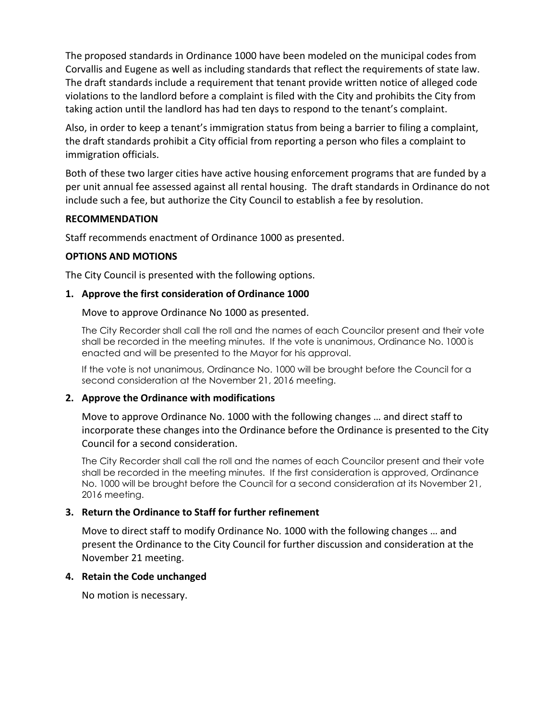The proposed standards in Ordinance 1000 have been modeled on the municipal codes from Corvallis and Eugene as well as including standards that reflect the requirements of state law. The draft standards include a requirement that tenant provide written notice of alleged code violations to the landlord before a complaint is filed with the City and prohibits the City from taking action until the landlord has had ten days to respond to the tenant's complaint.

Also, in order to keep a tenant's immigration status from being a barrier to filing a complaint, the draft standards prohibit a City official from reporting a person who files a complaint to immigration officials.

Both of these two larger cities have active housing enforcement programs that are funded by a per unit annual fee assessed against all rental housing. The draft standards in Ordinance do not include such a fee, but authorize the City Council to establish a fee by resolution.

#### **RECOMMENDATION**

Staff recommends enactment of Ordinance 1000 as presented.

#### **OPTIONS AND MOTIONS**

The City Council is presented with the following options.

#### **1. Approve the first consideration of Ordinance 1000**

Move to approve Ordinance No 1000 as presented.

The City Recorder shall call the roll and the names of each Councilor present and their vote shall be recorded in the meeting minutes. If the vote is unanimous, Ordinance No. 1000 is enacted and will be presented to the Mayor for his approval.

If the vote is not unanimous, Ordinance No. 1000 will be brought before the Council for a second consideration at the November 21, 2016 meeting.

#### **2. Approve the Ordinance with modifications**

Move to approve Ordinance No. 1000 with the following changes … and direct staff to incorporate these changes into the Ordinance before the Ordinance is presented to the City Council for a second consideration.

The City Recorder shall call the roll and the names of each Councilor present and their vote shall be recorded in the meeting minutes. If the first consideration is approved, Ordinance No. 1000 will be brought before the Council for a second consideration at its November 21, 2016 meeting.

# **3. Return the Ordinance to Staff for further refinement**

Move to direct staff to modify Ordinance No. 1000 with the following changes … and present the Ordinance to the City Council for further discussion and consideration at the November 21 meeting.

#### **4. Retain the Code unchanged**

No motion is necessary.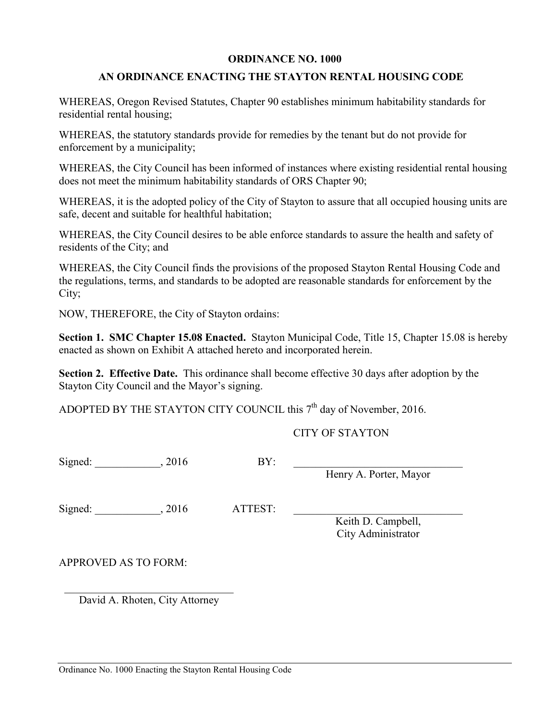#### **ORDINANCE NO. 1000**

# **AN ORDINANCE ENACTING THE STAYTON RENTAL HOUSING CODE**

WHEREAS, Oregon Revised Statutes, Chapter 90 establishes minimum habitability standards for residential rental housing;

WHEREAS, the statutory standards provide for remedies by the tenant but do not provide for enforcement by a municipality;

WHEREAS, the City Council has been informed of instances where existing residential rental housing does not meet the minimum habitability standards of ORS Chapter 90;

WHEREAS, it is the adopted policy of the City of Stayton to assure that all occupied housing units are safe, decent and suitable for healthful habitation;

WHEREAS, the City Council desires to be able enforce standards to assure the health and safety of residents of the City; and

WHEREAS, the City Council finds the provisions of the proposed Stayton Rental Housing Code and the regulations, terms, and standards to be adopted are reasonable standards for enforcement by the City;

NOW, THEREFORE, the City of Stayton ordains:

**Section 1. SMC Chapter 15.08 Enacted.** Stayton Municipal Code, Title 15, Chapter 15.08 is hereby enacted as shown on Exhibit A attached hereto and incorporated herein.

**Section 2. Effective Date.** This ordinance shall become effective 30 days after adoption by the Stayton City Council and the Mayor's signing.

ADOPTED BY THE STAYTON CITY COUNCIL this  $7<sup>th</sup>$  day of November, 2016.

CITY OF STAYTON

Signed:  $\qquad \qquad , 2016 \qquad \qquad \text{BY:}$ Henry A. Porter, Mayor Signed: \_\_\_\_\_\_\_\_\_\_\_\_\_, 2016 ATTEST: Keith D. Campbell, City Administrator APPROVED AS TO FORM: \_\_\_\_\_\_\_\_\_\_\_\_\_\_\_\_\_\_\_\_\_\_\_\_\_\_\_\_\_\_\_

David A. Rhoten, City Attorney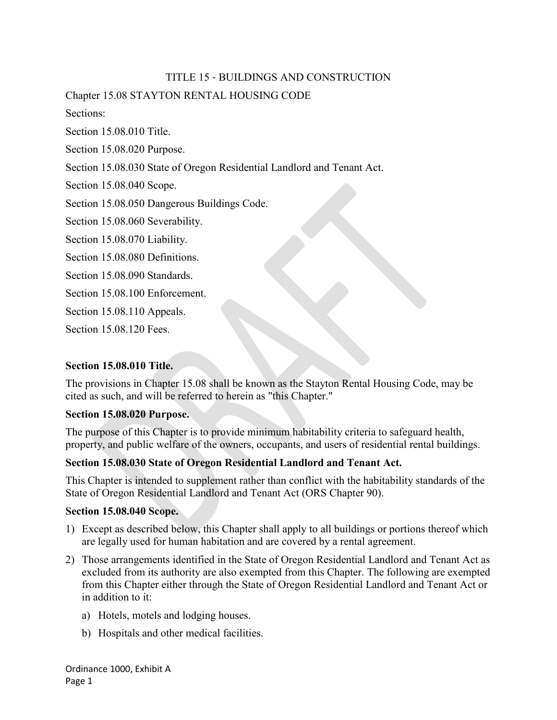# TITLE 15 ‐ BUILDINGS AND CONSTRUCTION

Chapter 15.08 STAYTON RENTAL HOUSING CODE

Sections:

Section 15.08.010 Title.

Section 15.08.020 Purpose.

Section 15.08.030 State of Oregon Residential Landlord and Tenant Act.

Section 15.08.040 Scope.

Section 15.08.050 Dangerous Buildings Code.

Section 15.08.060 Severability.

Section 15.08.070 Liability.

Section 15.08.080 Definitions.

Section 15.08.090 Standards.

Section 15.08.100 Enforcement.

Section 15.08.110 Appeals.

Section 15.08.120 Fees.

# **Section 15.08.010 Title.**

The provisions in Chapter 15.08 shall be known as the Stayton Rental Housing Code, may be cited as such, and will be referred to herein as "this Chapter."

#### **Section 15.08.020 Purpose.**

The purpose of this Chapter is to provide minimum habitability criteria to safeguard health, property, and public welfare of the owners, occupants, and users of residential rental buildings.

# **Section 15.08.030 State of Oregon Residential Landlord and Tenant Act.**

This Chapter is intended to supplement rather than conflict with the habitability standards of the State of Oregon Residential Landlord and Tenant Act (ORS Chapter 90).

#### **Section 15.08.040 Scope.**

- 1) Except as described below, this Chapter shall apply to all buildings or portions thereof which are legally used for human habitation and are covered by a rental agreement.
- 2) Those arrangements identified in the State of Oregon Residential Landlord and Tenant Act as excluded from its authority are also exempted from this Chapter. The following are exempted from this Chapter either through the State of Oregon Residential Landlord and Tenant Act or in addition to it:
	- a) Hotels, motels and lodging houses.
	- b) Hospitals and other medical facilities.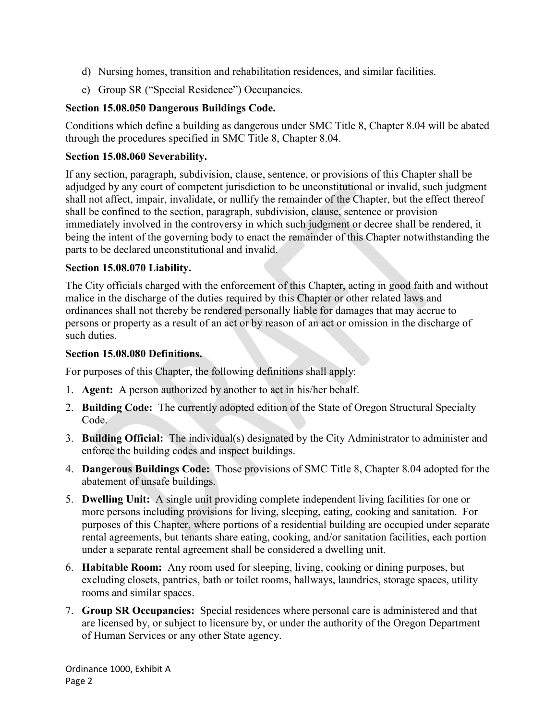- d) Nursing homes, transition and rehabilitation residences, and similar facilities.
- e) Group SR ("Special Residence") Occupancies.

# **Section 15.08.050 Dangerous Buildings Code.**

Conditions which define a building as dangerous under SMC Title 8, Chapter 8.04 will be abated through the procedures specified in SMC Title 8, Chapter 8.04.

# **Section 15.08.060 Severability.**

If any section, paragraph, subdivision, clause, sentence, or provisions of this Chapter shall be adjudged by any court of competent jurisdiction to be unconstitutional or invalid, such judgment shall not affect, impair, invalidate, or nullify the remainder of the Chapter, but the effect thereof shall be confined to the section, paragraph, subdivision, clause, sentence or provision immediately involved in the controversy in which such judgment or decree shall be rendered, it being the intent of the governing body to enact the remainder of this Chapter notwithstanding the parts to be declared unconstitutional and invalid.

# **Section 15.08.070 Liability.**

The City officials charged with the enforcement of this Chapter, acting in good faith and without malice in the discharge of the duties required by this Chapter or other related laws and ordinances shall not thereby be rendered personally liable for damages that may accrue to persons or property as a result of an act or by reason of an act or omission in the discharge of such duties.

# **Section 15.08.080 Definitions.**

For purposes of this Chapter, the following definitions shall apply:

- 1. **Agent:** A person authorized by another to act in his/her behalf.
- 2. **Building Code:** The currently adopted edition of the State of Oregon Structural Specialty Code.
- 3. **Building Official:** The individual(s) designated by the City Administrator to administer and enforce the building codes and inspect buildings.
- 4. **Dangerous Buildings Code:** Those provisions of SMC Title 8, Chapter 8.04 adopted for the abatement of unsafe buildings.
- 5. **Dwelling Unit:** A single unit providing complete independent living facilities for one or more persons including provisions for living, sleeping, eating, cooking and sanitation. For purposes of this Chapter, where portions of a residential building are occupied under separate rental agreements, but tenants share eating, cooking, and/or sanitation facilities, each portion under a separate rental agreement shall be considered a dwelling unit.
- 6. **Habitable Room:** Any room used for sleeping, living, cooking or dining purposes, but excluding closets, pantries, bath or toilet rooms, hallways, laundries, storage spaces, utility rooms and similar spaces.
- 7. **Group SR Occupancies:** Special residences where personal care is administered and that are licensed by, or subject to licensure by, or under the authority of the Oregon Department of Human Services or any other State agency.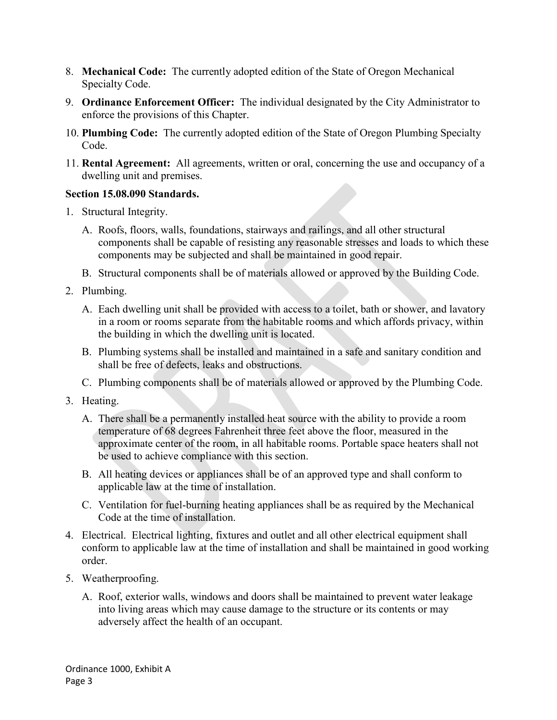- 8. **Mechanical Code:** The currently adopted edition of the State of Oregon Mechanical Specialty Code.
- 9. **Ordinance Enforcement Officer:** The individual designated by the City Administrator to enforce the provisions of this Chapter.
- 10. **Plumbing Code:** The currently adopted edition of the State of Oregon Plumbing Specialty Code.
- 11. **Rental Agreement:** All agreements, written or oral, concerning the use and occupancy of a dwelling unit and premises.

# **Section 15.08.090 Standards.**

- 1. Structural Integrity.
	- A. Roofs, floors, walls, foundations, stairways and railings, and all other structural components shall be capable of resisting any reasonable stresses and loads to which these components may be subjected and shall be maintained in good repair.
	- B. Structural components shall be of materials allowed or approved by the Building Code.
- 2. Plumbing.
	- A. Each dwelling unit shall be provided with access to a toilet, bath or shower, and lavatory in a room or rooms separate from the habitable rooms and which affords privacy, within the building in which the dwelling unit is located.
	- B. Plumbing systems shall be installed and maintained in a safe and sanitary condition and shall be free of defects, leaks and obstructions.
	- C. Plumbing components shall be of materials allowed or approved by the Plumbing Code.
- 3. Heating.
	- A. There shall be a permanently installed heat source with the ability to provide a room temperature of 68 degrees Fahrenheit three feet above the floor, measured in the approximate center of the room, in all habitable rooms. Portable space heaters shall not be used to achieve compliance with this section.
	- B. All heating devices or appliances shall be of an approved type and shall conform to applicable law at the time of installation.
	- C. Ventilation for fuel-burning heating appliances shall be as required by the Mechanical Code at the time of installation.
- 4. Electrical. Electrical lighting, fixtures and outlet and all other electrical equipment shall conform to applicable law at the time of installation and shall be maintained in good working order.
- 5. Weatherproofing.
	- A. Roof, exterior walls, windows and doors shall be maintained to prevent water leakage into living areas which may cause damage to the structure or its contents or may adversely affect the health of an occupant.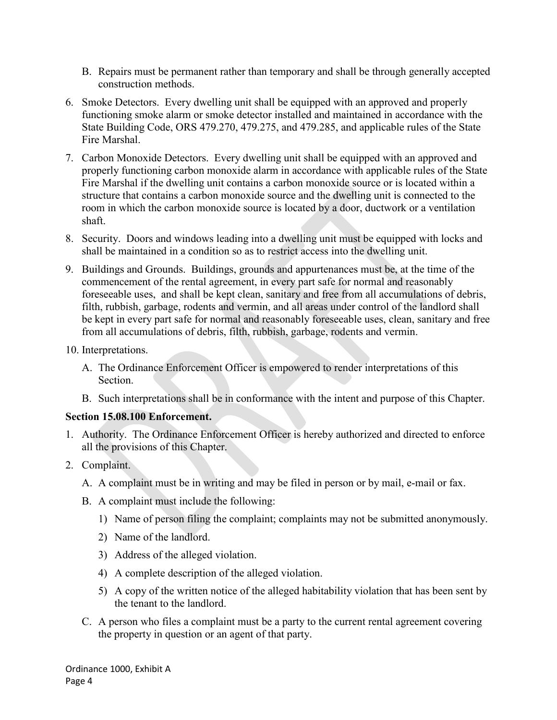- B. Repairs must be permanent rather than temporary and shall be through generally accepted construction methods.
- 6. Smoke Detectors. Every dwelling unit shall be equipped with an approved and properly functioning smoke alarm or smoke detector installed and maintained in accordance with the State Building Code, ORS 479.270, 479.275, and 479.285, and applicable rules of the State Fire Marshal.
- 7. Carbon Monoxide Detectors. Every dwelling unit shall be equipped with an approved and properly functioning carbon monoxide alarm in accordance with applicable rules of the State Fire Marshal if the dwelling unit contains a carbon monoxide source or is located within a structure that contains a carbon monoxide source and the dwelling unit is connected to the room in which the carbon monoxide source is located by a door, ductwork or a ventilation shaft.
- 8. Security. Doors and windows leading into a dwelling unit must be equipped with locks and shall be maintained in a condition so as to restrict access into the dwelling unit.
- 9. Buildings and Grounds. Buildings, grounds and appurtenances must be, at the time of the commencement of the rental agreement, in every part safe for normal and reasonably foreseeable uses, and shall be kept clean, sanitary and free from all accumulations of debris, filth, rubbish, garbage, rodents and vermin, and all areas under control of the landlord shall be kept in every part safe for normal and reasonably foreseeable uses, clean, sanitary and free from all accumulations of debris, filth, rubbish, garbage, rodents and vermin.
- 10. Interpretations.
	- A. The Ordinance Enforcement Officer is empowered to render interpretations of this Section.
	- B. Such interpretations shall be in conformance with the intent and purpose of this Chapter.

# **Section 15.08.100 Enforcement.**

- 1. Authority. The Ordinance Enforcement Officer is hereby authorized and directed to enforce all the provisions of this Chapter.
- 2. Complaint.
	- A. A complaint must be in writing and may be filed in person or by mail, e-mail or fax.
	- B. A complaint must include the following:
		- 1) Name of person filing the complaint; complaints may not be submitted anonymously.
		- 2) Name of the landlord.
		- 3) Address of the alleged violation.
		- 4) A complete description of the alleged violation.
		- 5) A copy of the written notice of the alleged habitability violation that has been sent by the tenant to the landlord.
	- C. A person who files a complaint must be a party to the current rental agreement covering the property in question or an agent of that party.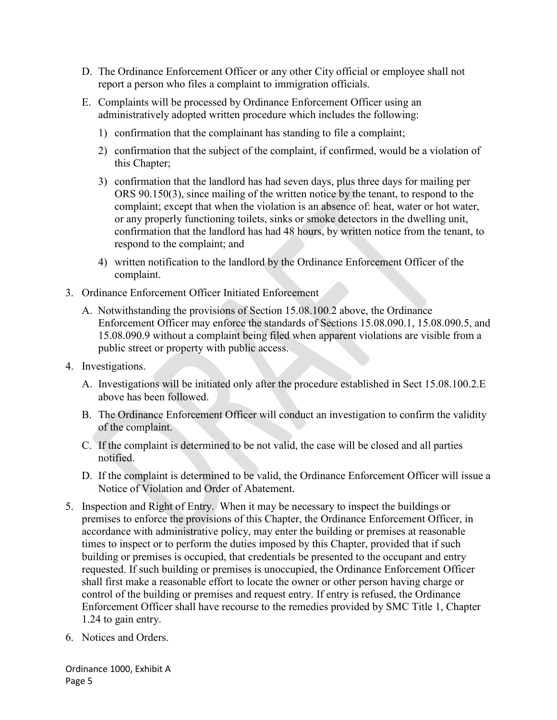- D. The Ordinance Enforcement Officer or any other City official or employee shall not report a person who files a complaint to immigration officials.
- E. Complaints will be processed by Ordinance Enforcement Officer using an administratively adopted written procedure which includes the following:
	- 1) confirmation that the complainant has standing to file a complaint;
	- 2) confirmation that the subject of the complaint, if confirmed, would be a violation of this Chapter;
	- 3) confirmation that the landlord has had seven days, plus three days for mailing per ORS 90.150(3), since mailing of the written notice by the tenant, to respond to the complaint; except that when the violation is an absence of: heat, water or hot water, or any properly functioning toilets, sinks or smoke detectors in the dwelling unit, confirmation that the landlord has had 48 hours, by written notice from the tenant, to respond to the complaint; and
	- 4) written notification to the landlord by the Ordinance Enforcement Officer of the complaint.
- 3. Ordinance Enforcement Officer Initiated Enforcement
	- A. Notwithstanding the provisions of Section 15.08.100.2 above, the Ordinance Enforcement Officer may enforce the standards of Sections 15.08.090.1, 15.08.090.5, and 15.08.090.9 without a complaint being filed when apparent violations are visible from a public street or property with public access.
- 4. Investigations.
	- A. Investigations will be initiated only after the procedure established in Sect 15.08.100.2.E above has been followed.
	- B. The Ordinance Enforcement Officer will conduct an investigation to confirm the validity of the complaint.
	- C. If the complaint is determined to be not valid, the case will be closed and all parties notified.
	- D. If the complaint is determined to be valid, the Ordinance Enforcement Officer will issue a Notice of Violation and Order of Abatement.
- 5. Inspection and Right of Entry. When it may be necessary to inspect the buildings or premises to enforce the provisions of this Chapter, the Ordinance Enforcement Officer, in accordance with administrative policy, may enter the building or premises at reasonable times to inspect or to perform the duties imposed by this Chapter, provided that if such building or premises is occupied, that credentials be presented to the occupant and entry requested. If such building or premises is unoccupied, the Ordinance Enforcement Officer shall first make a reasonable effort to locate the owner or other person having charge or control of the building or premises and request entry. If entry is refused, the Ordinance Enforcement Officer shall have recourse to the remedies provided by SMC Title 1, Chapter 1.24 to gain entry.
- 6. Notices and Orders.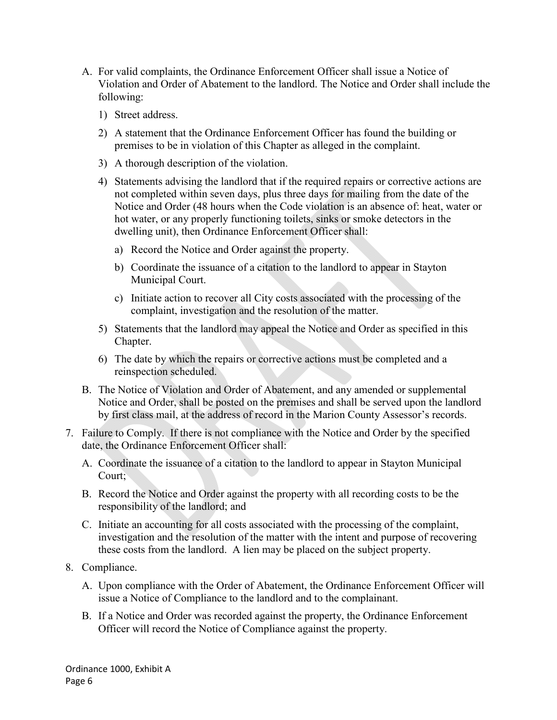- A. For valid complaints, the Ordinance Enforcement Officer shall issue a Notice of Violation and Order of Abatement to the landlord. The Notice and Order shall include the following:
	- 1) Street address.
	- 2) A statement that the Ordinance Enforcement Officer has found the building or premises to be in violation of this Chapter as alleged in the complaint.
	- 3) A thorough description of the violation.
	- 4) Statements advising the landlord that if the required repairs or corrective actions are not completed within seven days, plus three days for mailing from the date of the Notice and Order (48 hours when the Code violation is an absence of: heat, water or hot water, or any properly functioning toilets, sinks or smoke detectors in the dwelling unit), then Ordinance Enforcement Officer shall:
		- a) Record the Notice and Order against the property.
		- b) Coordinate the issuance of a citation to the landlord to appear in Stayton Municipal Court.
		- c) Initiate action to recover all City costs associated with the processing of the complaint, investigation and the resolution of the matter.
	- 5) Statements that the landlord may appeal the Notice and Order as specified in this Chapter.
	- 6) The date by which the repairs or corrective actions must be completed and a reinspection scheduled.
- B. The Notice of Violation and Order of Abatement, and any amended or supplemental Notice and Order, shall be posted on the premises and shall be served upon the landlord by first class mail, at the address of record in the Marion County Assessor's records.
- 7. Failure to Comply. If there is not compliance with the Notice and Order by the specified date, the Ordinance Enforcement Officer shall:
	- A. Coordinate the issuance of a citation to the landlord to appear in Stayton Municipal Court;
	- B. Record the Notice and Order against the property with all recording costs to be the responsibility of the landlord; and
	- C. Initiate an accounting for all costs associated with the processing of the complaint, investigation and the resolution of the matter with the intent and purpose of recovering these costs from the landlord. A lien may be placed on the subject property.
- 8. Compliance.
	- A. Upon compliance with the Order of Abatement, the Ordinance Enforcement Officer will issue a Notice of Compliance to the landlord and to the complainant.
	- B. If a Notice and Order was recorded against the property, the Ordinance Enforcement Officer will record the Notice of Compliance against the property.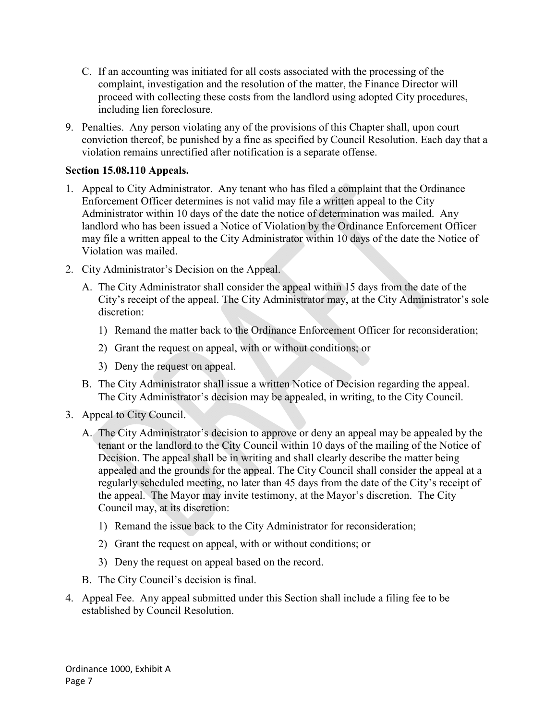- C. If an accounting was initiated for all costs associated with the processing of the complaint, investigation and the resolution of the matter, the Finance Director will proceed with collecting these costs from the landlord using adopted City procedures, including lien foreclosure.
- 9. Penalties. Any person violating any of the provisions of this Chapter shall, upon court conviction thereof, be punished by a fine as specified by Council Resolution. Each day that a violation remains unrectified after notification is a separate offense.

# **Section 15.08.110 Appeals.**

- 1. Appeal to City Administrator. Any tenant who has filed a complaint that the Ordinance Enforcement Officer determines is not valid may file a written appeal to the City Administrator within 10 days of the date the notice of determination was mailed. Any landlord who has been issued a Notice of Violation by the Ordinance Enforcement Officer may file a written appeal to the City Administrator within 10 days of the date the Notice of Violation was mailed.
- 2. City Administrator's Decision on the Appeal.
	- A. The City Administrator shall consider the appeal within 15 days from the date of the City's receipt of the appeal. The City Administrator may, at the City Administrator's sole discretion:
		- 1) Remand the matter back to the Ordinance Enforcement Officer for reconsideration;
		- 2) Grant the request on appeal, with or without conditions; or
		- 3) Deny the request on appeal.
	- B. The City Administrator shall issue a written Notice of Decision regarding the appeal. The City Administrator's decision may be appealed, in writing, to the City Council.
- 3. Appeal to City Council.
	- A. The City Administrator's decision to approve or deny an appeal may be appealed by the tenant or the landlord to the City Council within 10 days of the mailing of the Notice of Decision. The appeal shall be in writing and shall clearly describe the matter being appealed and the grounds for the appeal. The City Council shall consider the appeal at a regularly scheduled meeting, no later than 45 days from the date of the City's receipt of the appeal. The Mayor may invite testimony, at the Mayor's discretion. The City Council may, at its discretion:
		- 1) Remand the issue back to the City Administrator for reconsideration;
		- 2) Grant the request on appeal, with or without conditions; or
		- 3) Deny the request on appeal based on the record.
	- B. The City Council's decision is final.
- 4. Appeal Fee. Any appeal submitted under this Section shall include a filing fee to be established by Council Resolution.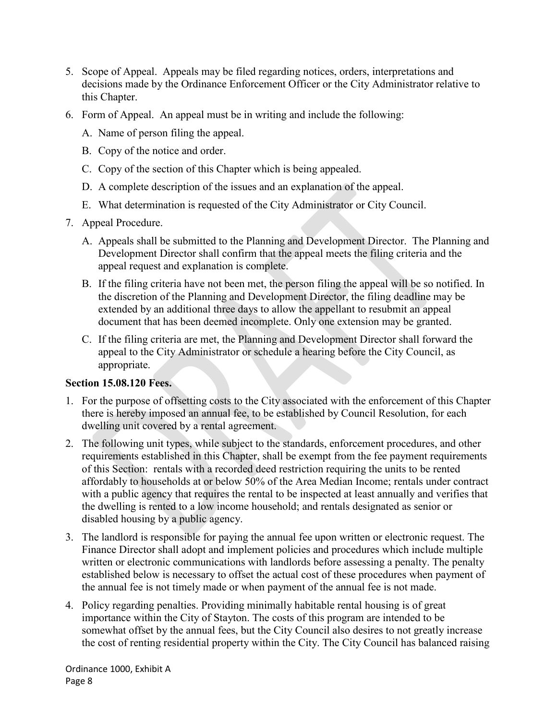- 5. Scope of Appeal. Appeals may be filed regarding notices, orders, interpretations and decisions made by the Ordinance Enforcement Officer or the City Administrator relative to this Chapter.
- 6. Form of Appeal. An appeal must be in writing and include the following:
	- A. Name of person filing the appeal.
	- B. Copy of the notice and order.
	- C. Copy of the section of this Chapter which is being appealed.
	- D. A complete description of the issues and an explanation of the appeal.
	- E. What determination is requested of the City Administrator or City Council.
- 7. Appeal Procedure.
	- A. Appeals shall be submitted to the Planning and Development Director. The Planning and Development Director shall confirm that the appeal meets the filing criteria and the appeal request and explanation is complete.
	- B. If the filing criteria have not been met, the person filing the appeal will be so notified. In the discretion of the Planning and Development Director, the filing deadline may be extended by an additional three days to allow the appellant to resubmit an appeal document that has been deemed incomplete. Only one extension may be granted.
	- C. If the filing criteria are met, the Planning and Development Director shall forward the appeal to the City Administrator or schedule a hearing before the City Council, as appropriate.

# **Section 15.08.120 Fees.**

- 1. For the purpose of offsetting costs to the City associated with the enforcement of this Chapter there is hereby imposed an annual fee, to be established by Council Resolution, for each dwelling unit covered by a rental agreement.
- 2. The following unit types, while subject to the standards, enforcement procedures, and other requirements established in this Chapter, shall be exempt from the fee payment requirements of this Section: rentals with a recorded deed restriction requiring the units to be rented affordably to households at or below 50% of the Area Median Income; rentals under contract with a public agency that requires the rental to be inspected at least annually and verifies that the dwelling is rented to a low income household; and rentals designated as senior or disabled housing by a public agency.
- 3. The landlord is responsible for paying the annual fee upon written or electronic request. The Finance Director shall adopt and implement policies and procedures which include multiple written or electronic communications with landlords before assessing a penalty. The penalty established below is necessary to offset the actual cost of these procedures when payment of the annual fee is not timely made or when payment of the annual fee is not made.
- 4. Policy regarding penalties. Providing minimally habitable rental housing is of great importance within the City of Stayton. The costs of this program are intended to be somewhat offset by the annual fees, but the City Council also desires to not greatly increase the cost of renting residential property within the City. The City Council has balanced raising